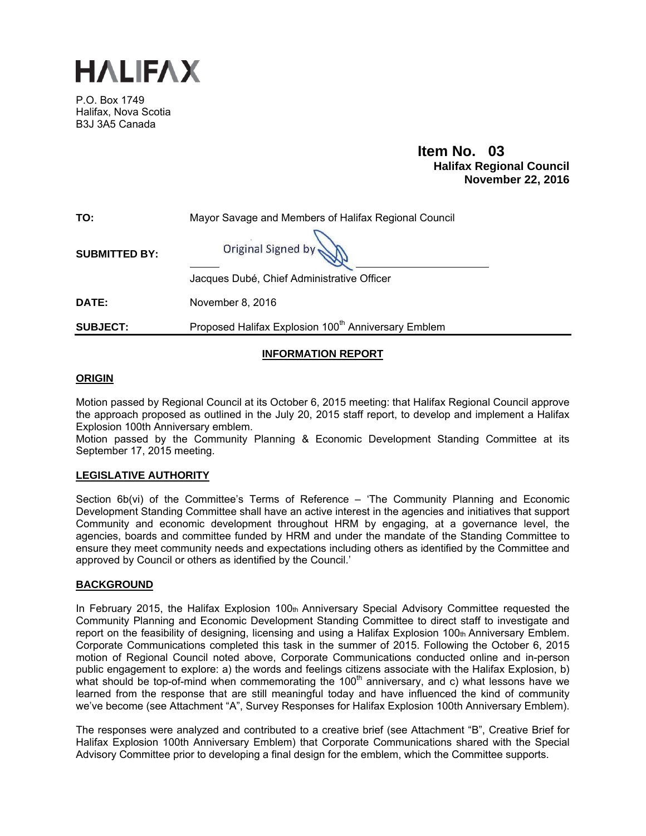

P.O. Box 1749 Halifax, Nova Scotia B3J 3A5 Canada

> **Item No. 03**<br>**Halifax Regional Council November 22, 2016**

| TO:                  | Mayor Savage and Members of Halifax Regional Council            |  |
|----------------------|-----------------------------------------------------------------|--|
| <b>SUBMITTED BY:</b> | Original Signed by                                              |  |
|                      | Jacques Dubé, Chief Administrative Officer                      |  |
| <b>DATE:</b>         | November 8, 2016                                                |  |
| <b>SUBJECT:</b>      | Proposed Halifax Explosion 100 <sup>th</sup> Anniversary Emblem |  |

#### **INFORMATION REPORT**

#### **ORIGIN**

Motion passed by Regional Council at its October 6, 2015 meeting: that Halifax Regional Council approve the approach proposed as outlined in the July 20, 2015 staff report, to develop and implement a Halifax Explosion 100th Anniversary emblem.

Motion passed by the Community Planning & Economic Development Standing Committee at its September 17, 2015 meeting.

#### **LEGISLATIVE AUTHORITY**

Section 6b(vi) of the Committee's Terms of Reference – 'The Community Planning and Economic Development Standing Committee shall have an active interest in the agencies and initiatives that support Community and economic development throughout HRM by engaging, at a governance level, the agencies, boards and committee funded by HRM and under the mandate of the Standing Committee to ensure they meet community needs and expectations including others as identified by the Committee and approved by Council or others as identified by the Council.'

#### **BACKGROUND**

In February 2015, the Halifax Explosion 100th Anniversary Special Advisory Committee requested the Community Planning and Economic Development Standing Committee to direct staff to investigate and report on the feasibility of designing, licensing and using a Halifax Explosion 100th Anniversary Emblem. Corporate Communications completed this task in the summer of 2015. Following the October 6, 2015 motion of Regional Council noted above, Corporate Communications conducted online and in-person public engagement to explore: a) the words and feelings citizens associate with the Halifax Explosion, b) what should be top-of-mind when commemorating the  $100<sup>th</sup>$  anniversary, and c) what lessons have we learned from the response that are still meaningful today and have influenced the kind of community we've become (see Attachment "A", Survey Responses for Halifax Explosion 100th Anniversary Emblem).

The responses were analyzed and contributed to a creative brief (see Attachment "B", Creative Brief for Halifax Explosion 100th Anniversary Emblem) that Corporate Communications shared with the Special Advisory Committee prior to developing a final design for the emblem, which the Committee supports.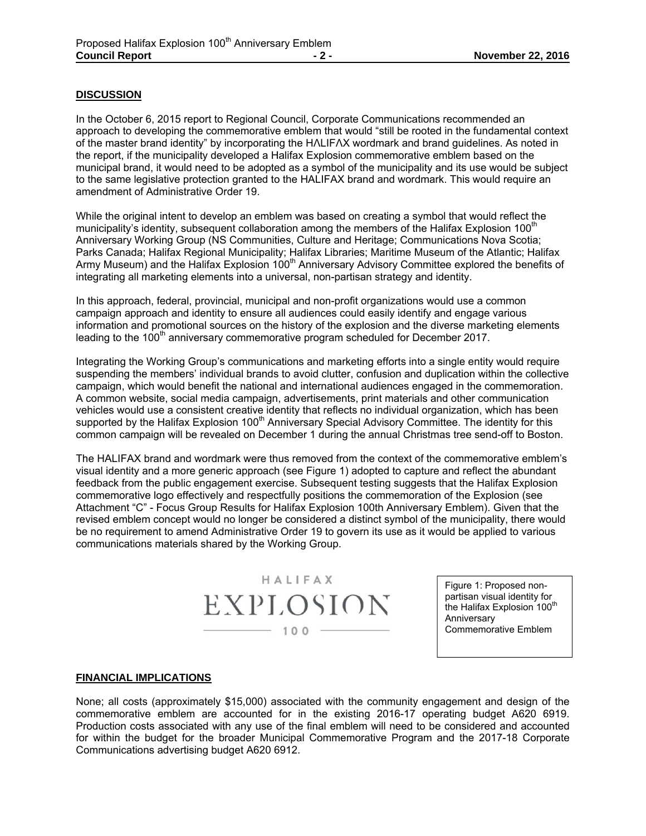#### **DISCUSSION**

In the October 6, 2015 report to Regional Council, Corporate Communications recommended an approach to developing the commemorative emblem that would "still be rooted in the fundamental context of the master brand identity" by incorporating the HΛLIFΛX wordmark and brand guidelines. As noted in the report, if the municipality developed a Halifax Explosion commemorative emblem based on the municipal brand, it would need to be adopted as a symbol of the municipality and its use would be subject to the same legislative protection granted to the HALIFAX brand and wordmark. This would require an amendment of Administrative Order 19.

While the original intent to develop an emblem was based on creating a symbol that would reflect the municipality's identity, subsequent collaboration among the members of the Halifax Explosion 100<sup>th</sup> Anniversary Working Group (NS Communities, Culture and Heritage; Communications Nova Scotia; Parks Canada; Halifax Regional Municipality; Halifax Libraries; Maritime Museum of the Atlantic; Halifax Army Museum) and the Halifax Explosion 100<sup>th</sup> Anniversary Advisory Committee explored the benefits of integrating all marketing elements into a universal, non-partisan strategy and identity.

In this approach, federal, provincial, municipal and non-profit organizations would use a common campaign approach and identity to ensure all audiences could easily identify and engage various information and promotional sources on the history of the explosion and the diverse marketing elements leading to the 100<sup>th</sup> anniversary commemorative program scheduled for December 2017.

Integrating the Working Group's communications and marketing efforts into a single entity would require suspending the members' individual brands to avoid clutter, confusion and duplication within the collective campaign, which would benefit the national and international audiences engaged in the commemoration. A common website, social media campaign, advertisements, print materials and other communication vehicles would use a consistent creative identity that reflects no individual organization, which has been supported by the Halifax Explosion 100<sup>th</sup> Anniversary Special Advisory Committee. The identity for this common campaign will be revealed on December 1 during the annual Christmas tree send-off to Boston.

The HALIFAX brand and wordmark were thus removed from the context of the commemorative emblem's visual identity and a more generic approach (see Figure 1) adopted to capture and reflect the abundant feedback from the public engagement exercise. Subsequent testing suggests that the Halifax Explosion commemorative logo effectively and respectfully positions the commemoration of the Explosion (see Attachment "C" - Focus Group Results for Halifax Explosion 100th Anniversary Emblem). Given that the revised emblem concept would no longer be considered a distinct symbol of the municipality, there would be no requirement to amend Administrative Order 19 to govern its use as it would be applied to various communications materials shared by the Working Group.

> HALIFAX EXPLOSION  $- 100 -$

Figure 1: Proposed nonpartisan visual identity for .<br>the Halifax Explosion 100<sup>th</sup> Anniversary Commemorative Emblem

#### **FINANCIAL IMPLICATIONS**

None; all costs (approximately \$15,000) associated with the community engagement and design of the commemorative emblem are accounted for in the existing 2016-17 operating budget A620 6919. Production costs associated with any use of the final emblem will need to be considered and accounted for within the budget for the broader Municipal Commemorative Program and the 2017-18 Corporate Communications advertising budget A620 6912.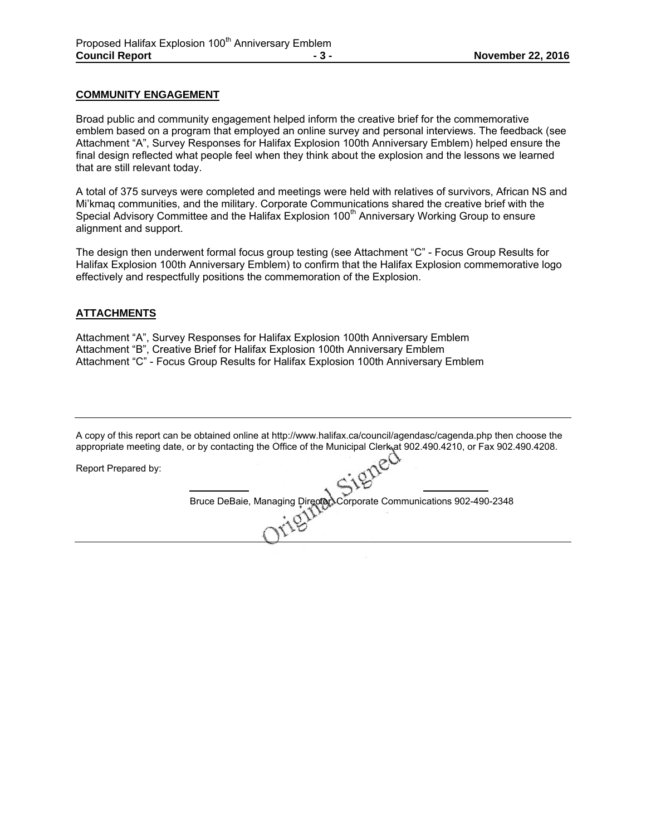#### **COMMUNITY ENGAGEMENT**

Broad public and community engagement helped inform the creative brief for the commemorative emblem based on a program that employed an online survey and personal interviews. The feedback (see Attachment "A", Survey Responses for Halifax Explosion 100th Anniversary Emblem) helped ensure the final design reflected what people feel when they think about the explosion and the lessons we learned that are still relevant today.

A total of 375 surveys were completed and meetings were held with relatives of survivors, African NS and Mi'kmaq communities, and the military. Corporate Communications shared the creative brief with the Special Advisory Committee and the Halifax Explosion 100<sup>th</sup> Anniversary Working Group to ensure alignment and support.

The design then underwent formal focus group testing (see Attachment "C" - Focus Group Results for Halifax Explosion 100th Anniversary Emblem) to confirm that the Halifax Explosion commemorative logo effectively and respectfully positions the commemoration of the Explosion.

#### **ATTACHMENTS**

Attachment "A", Survey Responses for Halifax Explosion 100th Anniversary Emblem Attachment "B", Creative Brief for Halifax Explosion 100th Anniversary Emblem Attachment "C" - Focus Group Results for Halifax Explosion 100th Anniversary Emblem

A copy of this report can be obtained online at http://www.halifax.ca/council/agendasc/cagenda.php then choose the appropriate meeting date, or by contacting the Office of the Municipal Clerk at 902.490.4210, or Fax 902.490.4208.

Report Prepared by:

Bruce DeBaie, Managing Director, Corporate Communications 902-490-2348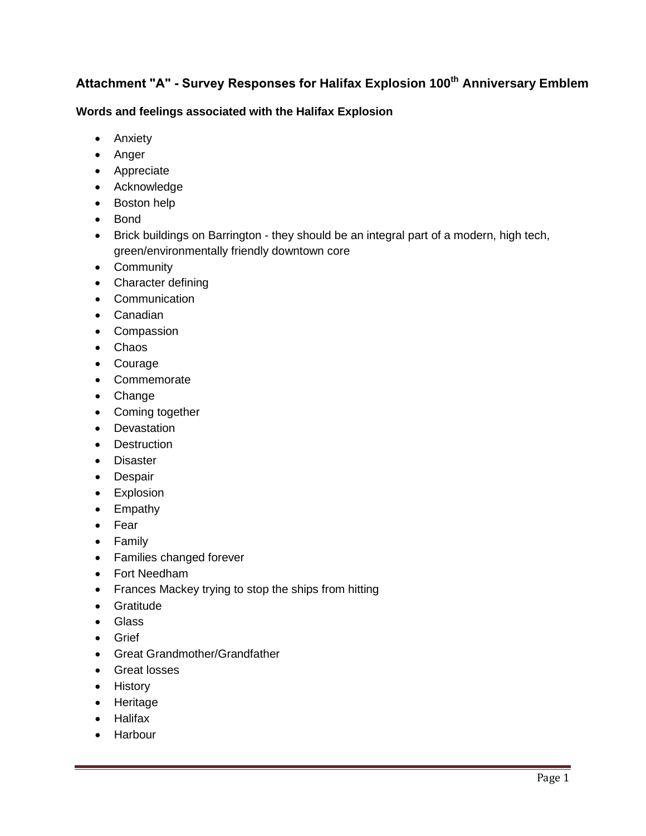## **Attachment "A" - Survey Responses for Halifax Explosion 100th Anniversary Emblem**

#### **Words and feelings associated with the Halifax Explosion**

- Anxiety
- Anger
- Appreciate
- Acknowledge
- Boston help
- Bond
- Brick buildings on Barrington they should be an integral part of a modern, high tech, green/environmentally friendly downtown core
- Community
- Character defining
- Communication
- Canadian
- Compassion
- Chaos
- Courage
- Commemorate
- Change
- Coming together
- Devastation
- Destruction
- Disaster
- Despair
- Explosion
- Empathy
- Fear
- Family
- Families changed forever
- Fort Needham
- Frances Mackey trying to stop the ships from hitting
- Gratitude
- Glass
- Grief
- Great Grandmother/Grandfather
- Great losses
- History
- Heritage
- Halifax
- Harbour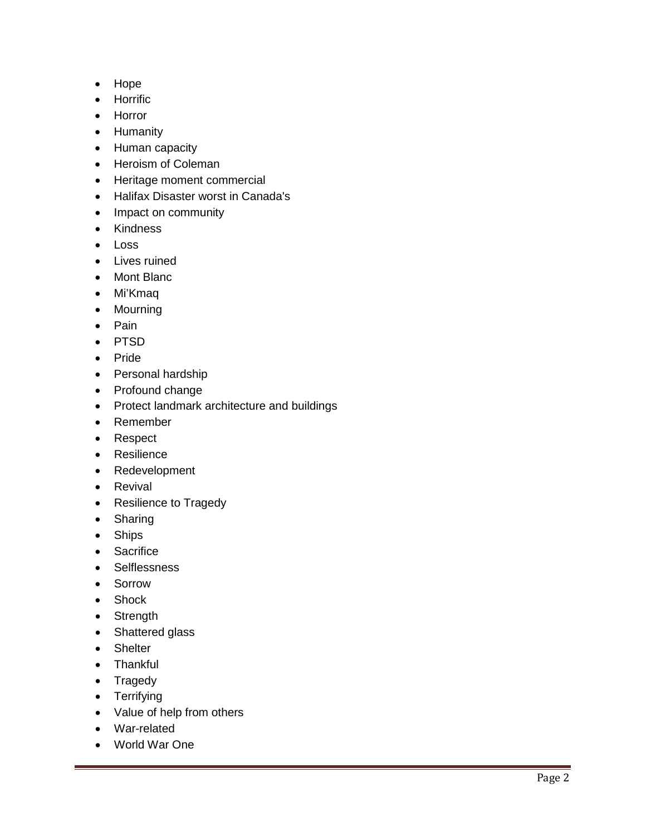- Hope
- Horrific
- Horror
- Humanity
- Human capacity
- Heroism of Coleman
- Heritage moment commercial
- Halifax Disaster worst in Canada's
- Impact on community
- Kindness
- Loss
- Lives ruined
- Mont Blanc
- Mi'Kmaq
- Mourning
- Pain
- PTSD
- Pride
- Personal hardship
- Profound change
- Protect landmark architecture and buildings
- Remember
- Respect
- Resilience
- Redevelopment
- Revival
- Resilience to Tragedy
- Sharing
- Ships
- Sacrifice
- Selflessness
- Sorrow
- Shock
- Strength
- Shattered glass
- Shelter
- Thankful
- Tragedy
- Terrifying
- Value of help from others
- War-related
- World War One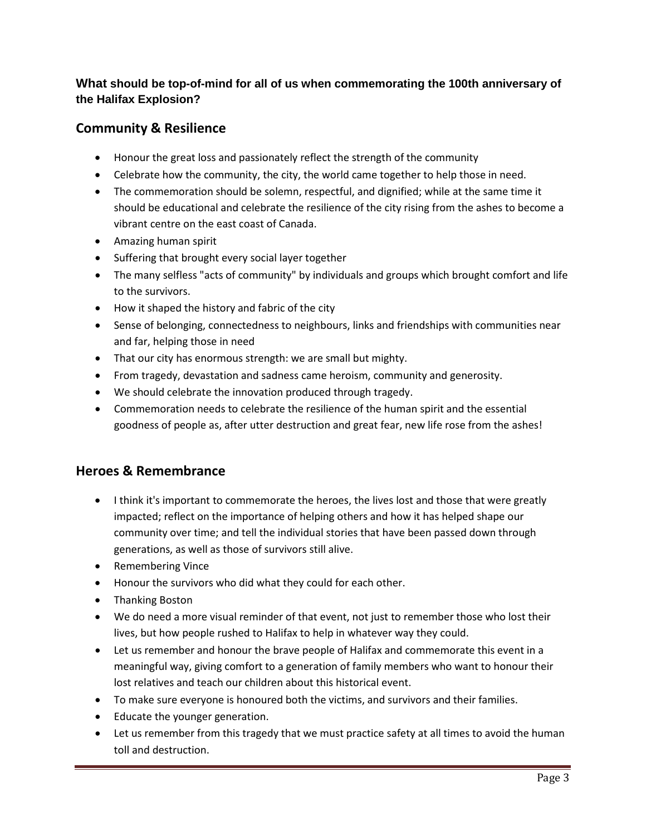### **What should be top-of-mind for all of us when commemorating the 100th anniversary of the Halifax Explosion?**

### **Community & Resilience**

- Honour the great loss and passionately reflect the strength of the community
- Celebrate how the community, the city, the world came together to help those in need.
- The commemoration should be solemn, respectful, and dignified; while at the same time it should be educational and celebrate the resilience of the city rising from the ashes to become a vibrant centre on the east coast of Canada.
- Amazing human spirit
- Suffering that brought every social layer together
- The many selfless "acts of community" by individuals and groups which brought comfort and life to the survivors.
- How it shaped the history and fabric of the city
- Sense of belonging, connectedness to neighbours, links and friendships with communities near and far, helping those in need
- That our city has enormous strength: we are small but mighty.
- From tragedy, devastation and sadness came heroism, community and generosity.
- We should celebrate the innovation produced through tragedy.
- Commemoration needs to celebrate the resilience of the human spirit and the essential goodness of people as, after utter destruction and great fear, new life rose from the ashes!

### **Heroes & Remembrance**

- I think it's important to commemorate the heroes, the lives lost and those that were greatly impacted; reflect on the importance of helping others and how it has helped shape our community over time; and tell the individual stories that have been passed down through generations, as well as those of survivors still alive.
- Remembering Vince
- Honour the survivors who did what they could for each other.
- Thanking Boston
- We do need a more visual reminder of that event, not just to remember those who lost their lives, but how people rushed to Halifax to help in whatever way they could.
- Let us remember and honour the brave people of Halifax and commemorate this event in a meaningful way, giving comfort to a generation of family members who want to honour their lost relatives and teach our children about this historical event.
- To make sure everyone is honoured both the victims, and survivors and their families.
- Educate the younger generation.
- Let us remember from this tragedy that we must practice safety at all times to avoid the human toll and destruction.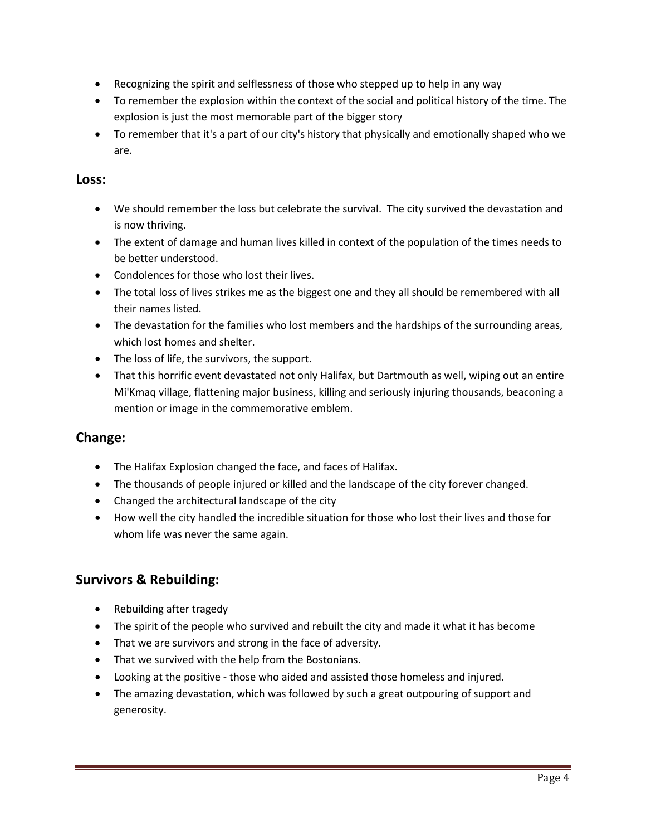- Recognizing the spirit and selflessness of those who stepped up to help in any way
- To remember the explosion within the context of the social and political history of the time. The explosion is just the most memorable part of the bigger story
- To remember that it's a part of our city's history that physically and emotionally shaped who we are.

#### **Loss:**

- We should remember the loss but celebrate the survival. The city survived the devastation and is now thriving.
- The extent of damage and human lives killed in context of the population of the times needs to be better understood.
- Condolences for those who lost their lives.
- The total loss of lives strikes me as the biggest one and they all should be remembered with all their names listed.
- The devastation for the families who lost members and the hardships of the surrounding areas, which lost homes and shelter.
- The loss of life, the survivors, the support.
- That this horrific event devastated not only Halifax, but Dartmouth as well, wiping out an entire Mi'Kmaq village, flattening major business, killing and seriously injuring thousands, beaconing a mention or image in the commemorative emblem.

### **Change:**

- The Halifax Explosion changed the face, and faces of Halifax.
- The thousands of people injured or killed and the landscape of the city forever changed.
- Changed the architectural landscape of the city
- How well the city handled the incredible situation for those who lost their lives and those for whom life was never the same again.

### **Survivors & Rebuilding:**

- Rebuilding after tragedy
- The spirit of the people who survived and rebuilt the city and made it what it has become
- That we are survivors and strong in the face of adversity.
- That we survived with the help from the Bostonians.
- Looking at the positive those who aided and assisted those homeless and injured.
- The amazing devastation, which was followed by such a great outpouring of support and generosity.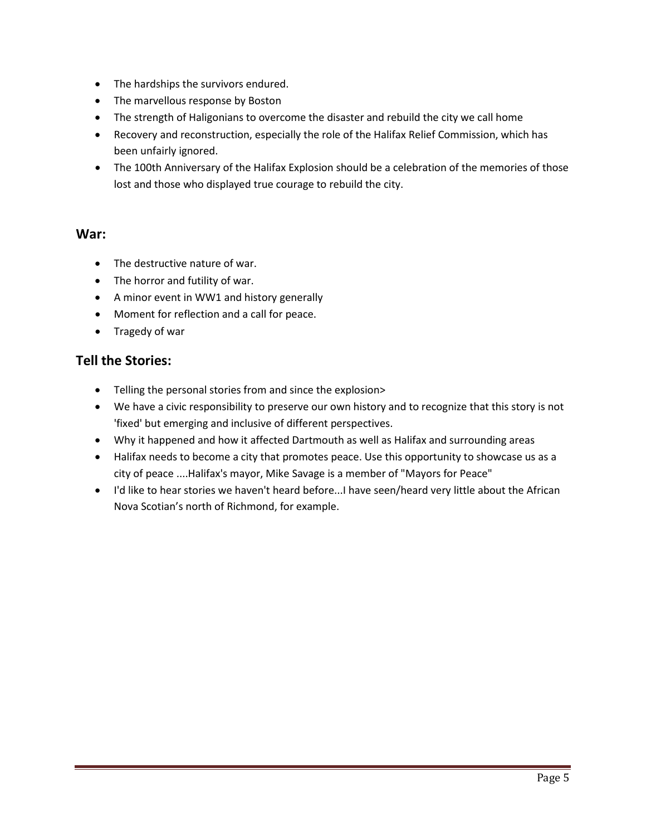- The hardships the survivors endured.
- The marvellous response by Boston
- The strength of Haligonians to overcome the disaster and rebuild the city we call home
- Recovery and reconstruction, especially the role of the Halifax Relief Commission, which has been unfairly ignored.
- The 100th Anniversary of the Halifax Explosion should be a celebration of the memories of those lost and those who displayed true courage to rebuild the city.

### **War:**

- The destructive nature of war.
- The horror and futility of war.
- A minor event in WW1 and history generally
- Moment for reflection and a call for peace.
- Tragedy of war

### **Tell the Stories:**

- Telling the personal stories from and since the explosion>
- We have a civic responsibility to preserve our own history and to recognize that this story is not 'fixed' but emerging and inclusive of different perspectives.
- Why it happened and how it affected Dartmouth as well as Halifax and surrounding areas
- Halifax needs to become a city that promotes peace. Use this opportunity to showcase us as a city of peace ....Halifax's mayor, Mike Savage is a member of "Mayors for Peace"
- I'd like to hear stories we haven't heard before...I have seen/heard very little about the African Nova Scotian's north of Richmond, for example.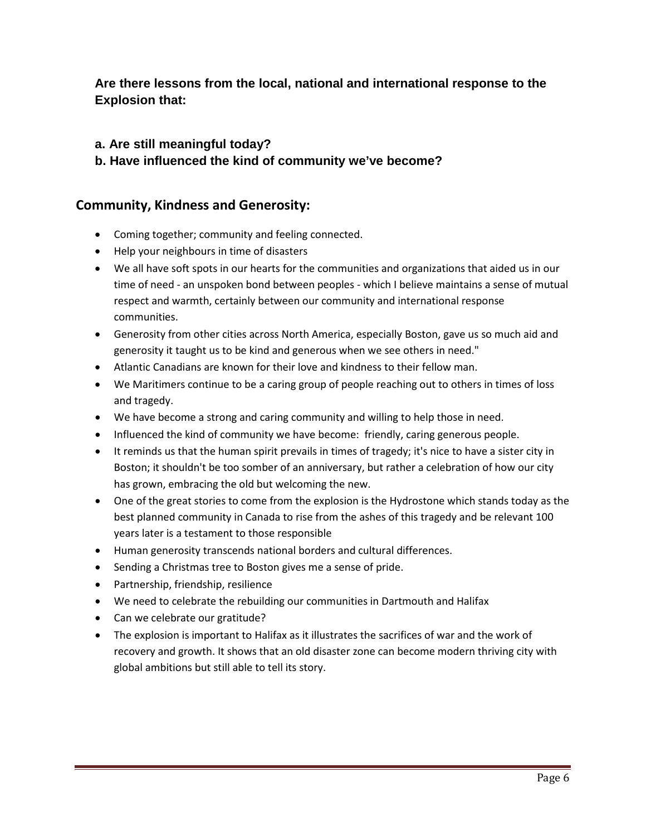### **Are there lessons from the local, national and international response to the Explosion that:**

- **a. Are still meaningful today?**
- **b. Have influenced the kind of community we've become?**

### **Community, Kindness and Generosity:**

- Coming together; community and feeling connected.
- Help your neighbours in time of disasters
- We all have soft spots in our hearts for the communities and organizations that aided us in our time of need - an unspoken bond between peoples - which I believe maintains a sense of mutual respect and warmth, certainly between our community and international response communities.
- Generosity from other cities across North America, especially Boston, gave us so much aid and generosity it taught us to be kind and generous when we see others in need."
- Atlantic Canadians are known for their love and kindness to their fellow man.
- We Maritimers continue to be a caring group of people reaching out to others in times of loss and tragedy.
- We have become a strong and caring community and willing to help those in need.
- Influenced the kind of community we have become: friendly, caring generous people.
- It reminds us that the human spirit prevails in times of tragedy; it's nice to have a sister city in Boston; it shouldn't be too somber of an anniversary, but rather a celebration of how our city has grown, embracing the old but welcoming the new.
- One of the great stories to come from the explosion is the Hydrostone which stands today as the best planned community in Canada to rise from the ashes of this tragedy and be relevant 100 years later is a testament to those responsible
- Human generosity transcends national borders and cultural differences.
- Sending a Christmas tree to Boston gives me a sense of pride.
- Partnership, friendship, resilience
- We need to celebrate the rebuilding our communities in Dartmouth and Halifax
- Can we celebrate our gratitude?
- The explosion is important to Halifax as it illustrates the sacrifices of war and the work of recovery and growth. It shows that an old disaster zone can become modern thriving city with global ambitions but still able to tell its story.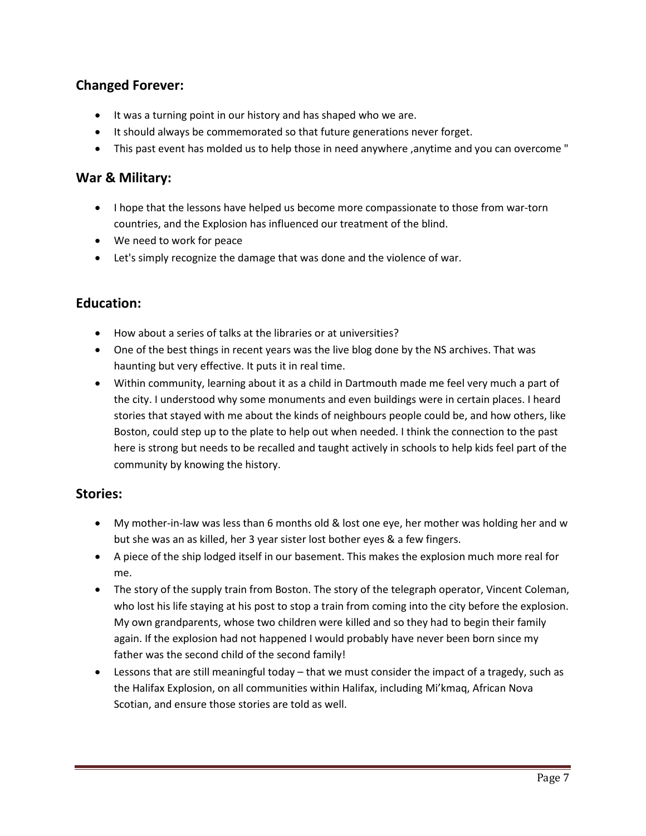### **Changed Forever:**

- It was a turning point in our history and has shaped who we are.
- It should always be commemorated so that future generations never forget.
- This past event has molded us to help those in need anywhere ,anytime and you can overcome "

### **War & Military:**

- I hope that the lessons have helped us become more compassionate to those from war-torn countries, and the Explosion has influenced our treatment of the blind.
- We need to work for peace
- Let's simply recognize the damage that was done and the violence of war.

### **Education:**

- How about a series of talks at the libraries or at universities?
- One of the best things in recent years was the live blog done by the NS archives. That was haunting but very effective. It puts it in real time.
- Within community, learning about it as a child in Dartmouth made me feel very much a part of the city. I understood why some monuments and even buildings were in certain places. I heard stories that stayed with me about the kinds of neighbours people could be, and how others, like Boston, could step up to the plate to help out when needed. I think the connection to the past here is strong but needs to be recalled and taught actively in schools to help kids feel part of the community by knowing the history.

### **Stories:**

- My mother-in-law was less than 6 months old & lost one eye, her mother was holding her and w but she was an as killed, her 3 year sister lost bother eyes & a few fingers.
- A piece of the ship lodged itself in our basement. This makes the explosion much more real for me.
- The story of the supply train from Boston. The story of the telegraph operator, Vincent Coleman, who lost his life staying at his post to stop a train from coming into the city before the explosion. My own grandparents, whose two children were killed and so they had to begin their family again. If the explosion had not happened I would probably have never been born since my father was the second child of the second family!
- Lessons that are still meaningful today that we must consider the impact of a tragedy, such as the Halifax Explosion, on all communities within Halifax, including Mi'kmaq, African Nova Scotian, and ensure those stories are told as well.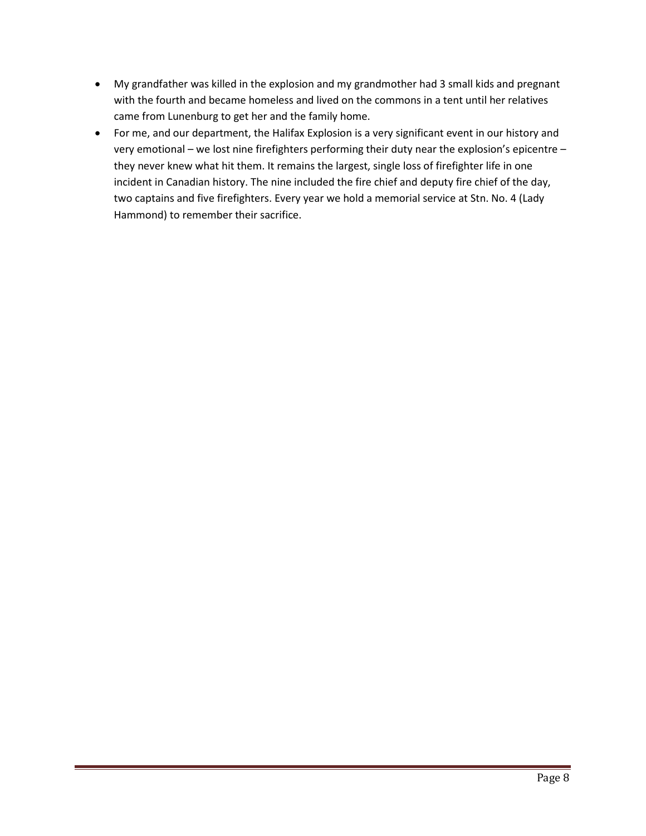- My grandfather was killed in the explosion and my grandmother had 3 small kids and pregnant with the fourth and became homeless and lived on the commons in a tent until her relatives came from Lunenburg to get her and the family home.
- For me, and our department, the Halifax Explosion is a very significant event in our history and very emotional – we lost nine firefighters performing their duty near the explosion's epicentre – they never knew what hit them. It remains the largest, single loss of firefighter life in one incident in Canadian history. The nine included the fire chief and deputy fire chief of the day, two captains and five firefighters. Every year we hold a memorial service at Stn. No. 4 (Lady Hammond) to remember their sacrifice.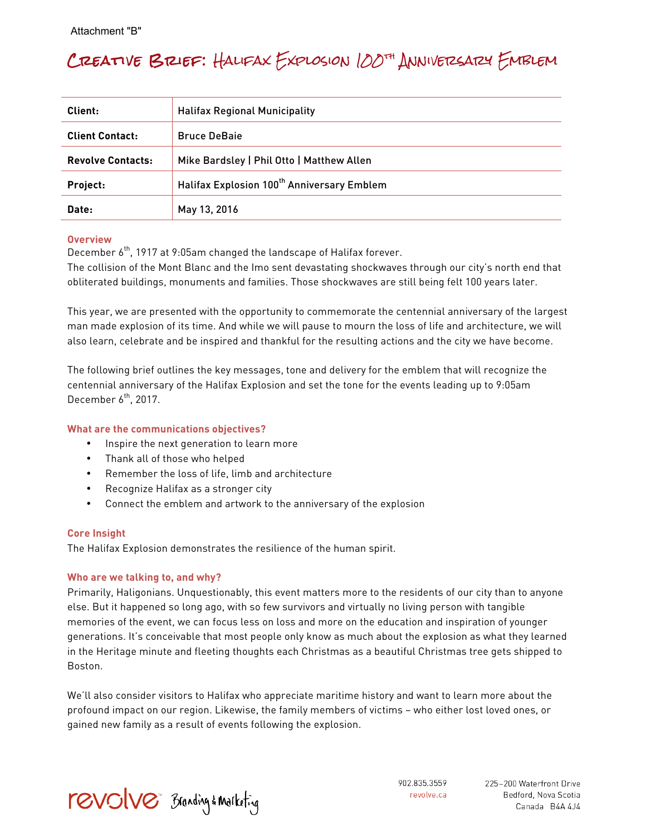# Creative Brief: Halifax Explosion 100th Anniversary Emblem

| Client:                  | <b>Halifax Regional Municipality</b>                   |  |
|--------------------------|--------------------------------------------------------|--|
| <b>Client Contact:</b>   | <b>Bruce DeBaie</b>                                    |  |
| <b>Revolve Contacts:</b> | Mike Bardsley   Phil Otto   Matthew Allen              |  |
| Project:                 | Halifax Explosion 100 <sup>th</sup> Anniversary Emblem |  |
| Date:                    | May 13, 2016                                           |  |

#### **Overview**

December  $6<sup>th</sup>$ , 1917 at 9:05am changed the landscape of Halifax forever.

The collision of the Mont Blanc and the Imo sent devastating shockwaves through our city's north end that obliterated buildings, monuments and families. Those shockwaves are still being felt 100 years later.

This year, we are presented with the opportunity to commemorate the centennial anniversary of the largest man made explosion of its time. And while we will pause to mourn the loss of life and architecture, we will also learn, celebrate and be inspired and thankful for the resulting actions and the city we have become.

The following brief outlines the key messages, tone and delivery for the emblem that will recognize the centennial anniversary of the Halifax Explosion and set the tone for the events leading up to 9:05am December  $6^{th}$ , 2017.

#### **What are the communications objectives?**

- Inspire the next generation to learn more
- Thank all of those who helped
- Remember the loss of life, limb and architecture
- Recognize Halifax as a stronger city
- Connect the emblem and artwork to the anniversary of the explosion

#### **Core Insight**

The Halifax Explosion demonstrates the resilience of the human spirit.

#### **Who are we talking to, and why?**

Primarily, Haligonians. Unquestionably, this event matters more to the residents of our city than to anyone else. But it happened so long ago, with so few survivors and virtually no living person with tangible memories of the event, we can focus less on loss and more on the education and inspiration of younger generations. It's conceivable that most people only know as much about the explosion as what they learned in the Heritage minute and fleeting thoughts each Christmas as a beautiful Christmas tree gets shipped to Boston.

We'll also consider visitors to Halifax who appreciate maritime history and want to learn more about the profound impact on our region. Likewise, the family members of victims – who either lost loved ones, or gained new family as a result of events following the explosion.



902.835.3559 revolve.ca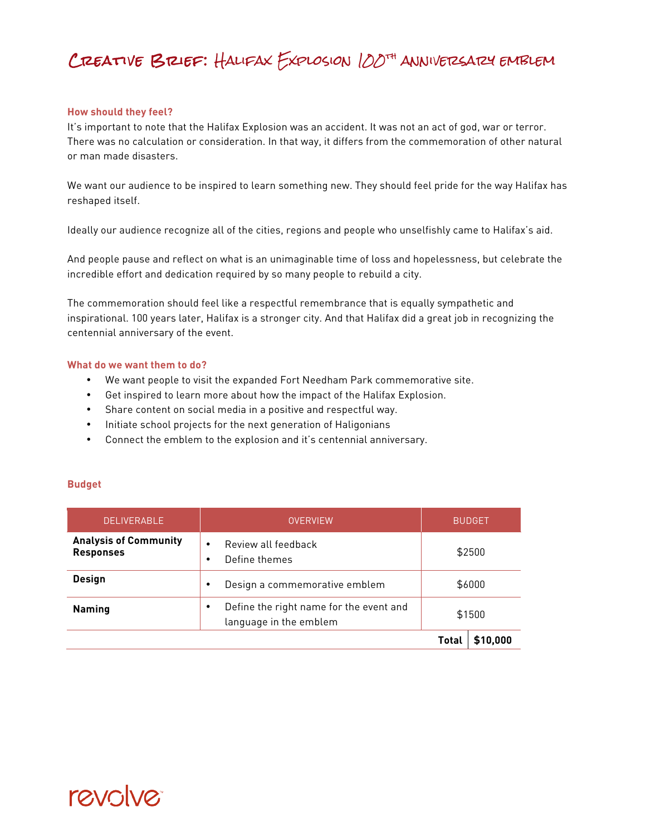# Creative Brief: Halifax Explosion 100th anniversary emblem

#### **How should they feel?**

It's important to note that the Halifax Explosion was an accident. It was not an act of god, war or terror. There was no calculation or consideration. In that way, it differs from the commemoration of other natural or man made disasters.

We want our audience to be inspired to learn something new. They should feel pride for the way Halifax has reshaped itself.

Ideally our audience recognize all of the cities, regions and people who unselfishly came to Halifax's aid.

And people pause and reflect on what is an unimaginable time of loss and hopelessness, but celebrate the incredible effort and dedication required by so many people to rebuild a city.

The commemoration should feel like a respectful remembrance that is equally sympathetic and inspirational. 100 years later, Halifax is a stronger city. And that Halifax did a great job in recognizing the centennial anniversary of the event.

#### **What do we want them to do?**

- We want people to visit the expanded Fort Needham Park commemorative site.
- Get inspired to learn more about how the impact of the Halifax Explosion.
- Share content on social media in a positive and respectful way.
- Initiate school projects for the next generation of Haligonians
- Connect the emblem to the explosion and it's centennial anniversary.

#### **Budget**

| <b>DELIVERABLE</b>                               | <b>OVERVIEW</b>                                                   | <b>BUDGET</b>            |
|--------------------------------------------------|-------------------------------------------------------------------|--------------------------|
| <b>Analysis of Community</b><br><b>Responses</b> | Review all feedback<br>Define themes                              | \$2500                   |
| <b>Design</b>                                    | Design a commemorative emblem                                     | \$6000                   |
| <b>Naming</b>                                    | Define the right name for the event and<br>language in the emblem | \$1500                   |
|                                                  |                                                                   | \$10,000<br><b>Total</b> |

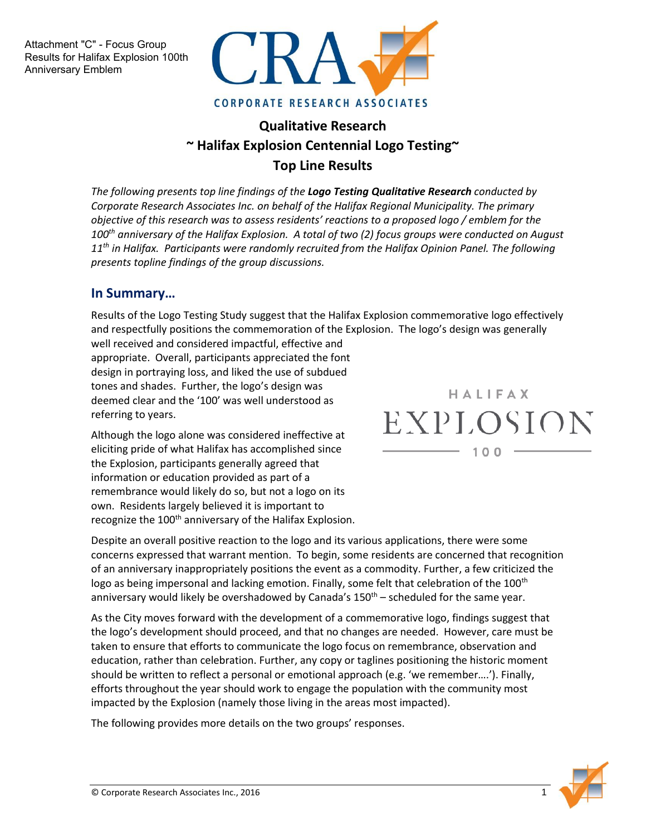Attachment "C" - Focus Group Results for Halifax Explosion 100th Anniversary Emblem



## **Qualitative Research ~ Halifax Explosion Centennial Logo Testing~ Top Line Results**

*The following presents top line findings of the Logo Testing Qualitative Research conducted by Corporate Research Associates Inc. on behalf of the Halifax Regional Municipality. The primary objective of this research was to assess residents' reactions to a proposed logo / emblem for the 100th anniversary of the Halifax Explosion. A total of two (2) focus groups were conducted on August 11th in Halifax. Participants were randomly recruited from the Halifax Opinion Panel. The following presents topline findings of the group discussions.*

### **In Summary…**

Results of the Logo Testing Study suggest that the Halifax Explosion commemorative logo effectively and respectfully positions the commemoration of the Explosion. The logo's design was generally

well received and considered impactful, effective and appropriate. Overall, participants appreciated the font design in portraying loss, and liked the use of subdued tones and shades. Further, the logo's design was deemed clear and the '100' was well understood as referring to years.

Although the logo alone was considered ineffective at eliciting pride of what Halifax has accomplished since the Explosion, participants generally agreed that information or education provided as part of a remembrance would likely do so, but not a logo on its own. Residents largely believed it is important to recognize the 100<sup>th</sup> anniversary of the Halifax Explosion.

Despite an overall positive reaction to the logo and its various applications, there were some concerns expressed that warrant mention. To begin, some residents are concerned that recognition of an anniversary inappropriately positions the event as a commodity. Further, a few criticized the logo as being impersonal and lacking emotion. Finally, some felt that celebration of the 100<sup>th</sup> anniversary would likely be overshadowed by Canada's  $150<sup>th</sup>$  – scheduled for the same year.

As the City moves forward with the development of a commemorative logo, findings suggest that the logo's development should proceed, and that no changes are needed. However, care must be taken to ensure that efforts to communicate the logo focus on remembrance, observation and education, rather than celebration. Further, any copy or taglines positioning the historic moment should be written to reflect a personal or emotional approach (e.g. 'we remember….'). Finally, efforts throughout the year should work to engage the population with the community most impacted by the Explosion (namely those living in the areas most impacted).

The following provides more details on the two groups' responses.

HALIFAX EXPLOSION  $100$ 

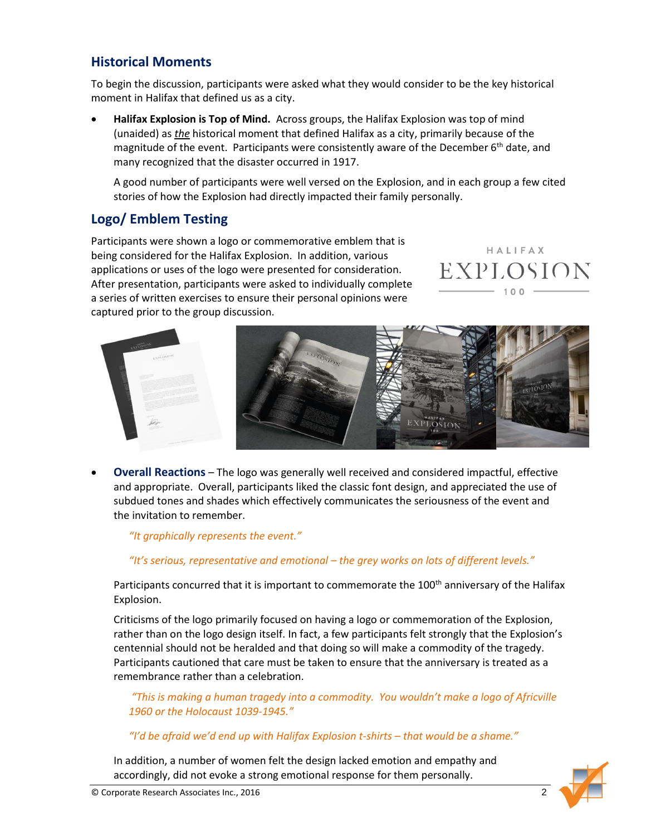### **Historical Moments**

To begin the discussion, participants were asked what they would consider to be the key historical moment in Halifax that defined us as a city.

 **Halifax Explosion is Top of Mind.** Across groups, the Halifax Explosion was top of mind (unaided) as *the* historical moment that defined Halifax as a city, primarily because of the magnitude of the event. Participants were consistently aware of the December  $6<sup>th</sup>$  date, and many recognized that the disaster occurred in 1917.

A good number of participants were well versed on the Explosion, and in each group a few cited stories of how the Explosion had directly impacted their family personally.

### **Logo/ Emblem Testing**

Participants were shown a logo or commemorative emblem that is being considered for the Halifax Explosion. In addition, various applications or uses of the logo were presented for consideration. After presentation, participants were asked to individually complete a series of written exercises to ensure their personal opinions were captured prior to the group discussion.





 **Overall Reactions** – The logo was generally well received and considered impactful, effective and appropriate. Overall, participants liked the classic font design, and appreciated the use of subdued tones and shades which effectively communicates the seriousness of the event and the invitation to remember.

*"It graphically represents the event."*

#### *"It's serious, representative and emotional – the grey works on lots of different levels."*

Participants concurred that it is important to commemorate the 100<sup>th</sup> anniversary of the Halifax Explosion.

Criticisms of the logo primarily focused on having a logo or commemoration of the Explosion, rather than on the logo design itself. In fact, a few participants felt strongly that the Explosion's centennial should not be heralded and that doing so will make a commodity of the tragedy. Participants cautioned that care must be taken to ensure that the anniversary is treated as a remembrance rather than a celebration.

*"This is making a human tragedy into a commodity. You wouldn't make a logo of Africville 1960 or the Holocaust 1039-1945."*

*"I'd be afraid we'd end up with Halifax Explosion t-shirts – that would be a shame."*

In addition, a number of women felt the design lacked emotion and empathy and accordingly, did not evoke a strong emotional response for them personally.

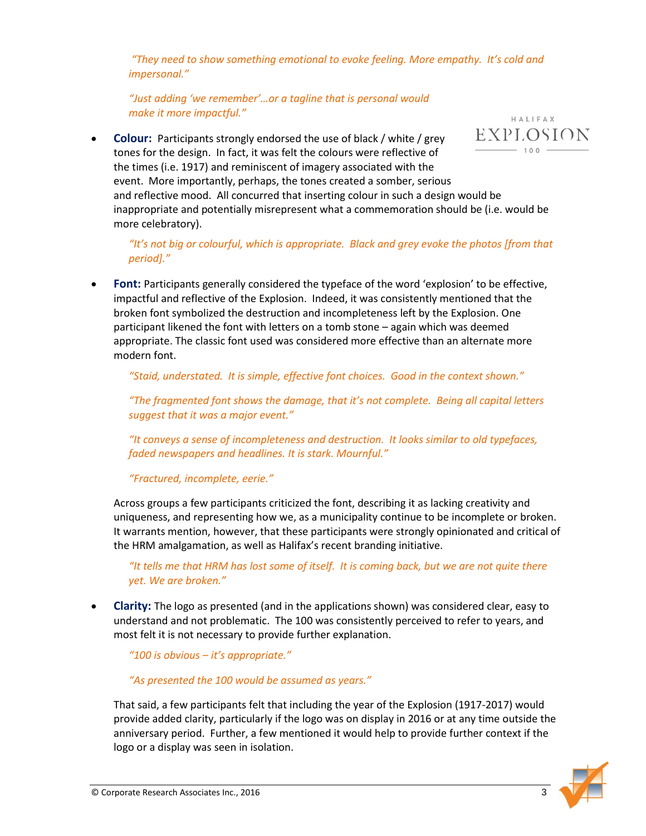*"They need to show something emotional to evoke feeling. More empathy. It's cold and impersonal."*

*"Just adding 'we remember'…or a tagline that is personal would make it more impactful."*

EXPLOSION **Colour:** Participants strongly endorsed the use of black / white / grey  $-100$ tones for the design. In fact, it was felt the colours were reflective of the times (i.e. 1917) and reminiscent of imagery associated with the event. More importantly, perhaps, the tones created a somber, serious and reflective mood. All concurred that inserting colour in such a design would be inappropriate and potentially misrepresent what a commemoration should be (i.e. would be more celebratory).

*"It's not big or colourful, which is appropriate. Black and grey evoke the photos [from that period]."*

Font: Participants generally considered the typeface of the word 'explosion' to be effective, impactful and reflective of the Explosion. Indeed, it was consistently mentioned that the broken font symbolized the destruction and incompleteness left by the Explosion. One participant likened the font with letters on a tomb stone – again which was deemed appropriate. The classic font used was considered more effective than an alternate more modern font.

*"Staid, understated. It is simple, effective font choices. Good in the context shown."* 

*"The fragmented font shows the damage, that it's not complete. Being all capital letters suggest that it was a major event."*

*"It conveys a sense of incompleteness and destruction. It looks similar to old typefaces, faded newspapers and headlines. It is stark. Mournful."*

*"Fractured, incomplete, eerie."*

Across groups a few participants criticized the font, describing it as lacking creativity and uniqueness, and representing how we, as a municipality continue to be incomplete or broken. It warrants mention, however, that these participants were strongly opinionated and critical of the HRM amalgamation, as well as Halifax's recent branding initiative.

*"It tells me that HRM has lost some of itself. It is coming back, but we are not quite there yet. We are broken."*

 **Clarity:** The logo as presented (and in the applications shown) was considered clear, easy to understand and not problematic. The 100 was consistently perceived to refer to years, and most felt it is not necessary to provide further explanation.

*"100 is obvious – it's appropriate."*

*"As presented the 100 would be assumed as years."*

That said, a few participants felt that including the year of the Explosion (1917-2017) would provide added clarity, particularly if the logo was on display in 2016 or at any time outside the anniversary period. Further, a few mentioned it would help to provide further context if the logo or a display was seen in isolation.



HALIFAX